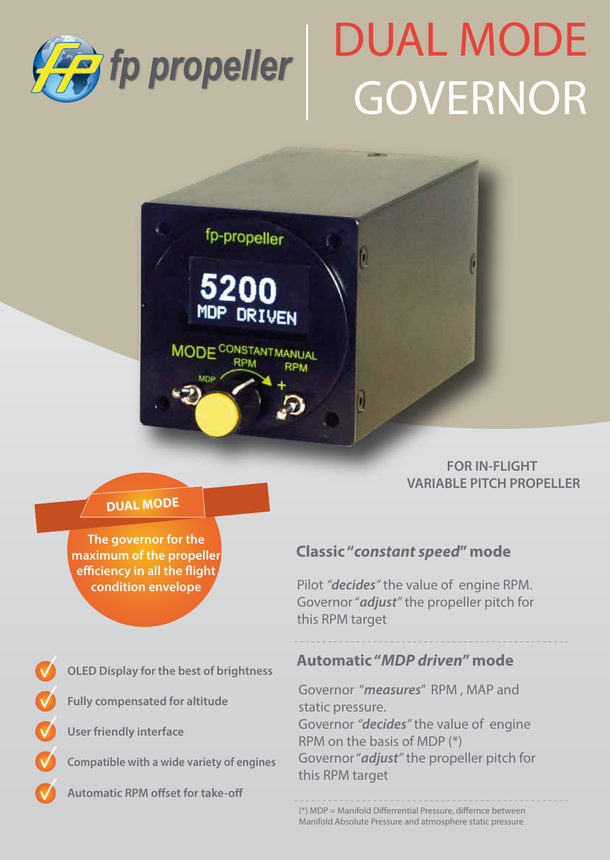

# DUAL MODE *Fej* fp propeller GOVERNOR



#### **FOR IN-FLIGHT VARIABLE PITCH PROPELLER**

#### **DUAL MODE**

**The governor for the maximum of the propeller efciency in all the fight condition envelope**

**OLED Display for the best of brightness**

**Compatible with a wide variety of engines**

**Automatic RPM ofset for take-of**

**Fully compensated for altitude**

**User friendly interface**

### **Classic "***constant speed***" mode**

Pilot *"decides"* the value of engine RPM. Governor "*adjust"* the propeller pitch for this RPM target

#### **Automatic "***MDP driven***" mode**

Governor "*measures*" RPM , MAP and static pressure. Governor *"decides"* the value of engine RPM on the basis of MDP (\*) Governor "*adjust"* the propeller pitch for this RPM target

(\*) MDP = Manifold Diferrential Pressure, difernce between Manifold Absolute Pressure and atmosphere static pressure